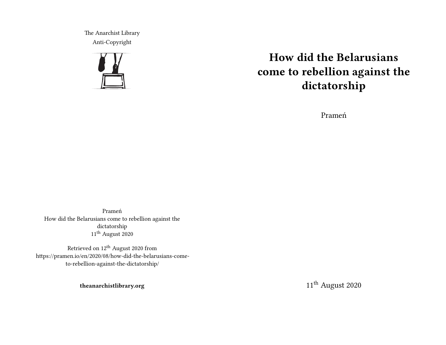The Anarchist Library Anti-Copyright



# **How did the Belarusians come to rebellion against the dictatorship**

Prameń

Prameń How did the Belarusians come to rebellion against the dictatorship 11th August 2020

Retrieved on 12th August 2020 from https://pramen.io/en/2020/08/how-did-the-belarusians-cometo-rebellion-against-the-dictatorship/

**theanarchistlibrary.org**

11<sup>th</sup> August 2020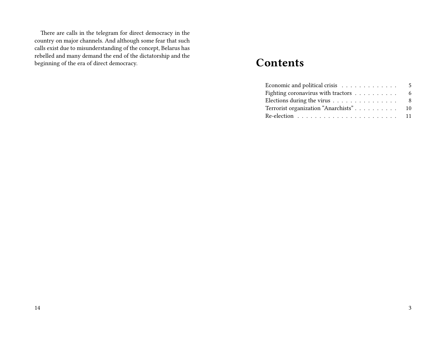There are calls in the telegram for direct democracy in the country on major channels. And although some fear that such calls exist due to misunderstanding of the concept, Belarus has rebelled and many demand the end of the dictatorship and the beginning of the era of direct democracy.

# **Contents**

| Economic and political crisis $\ldots \ldots \ldots \ldots$       | 5 |
|-------------------------------------------------------------------|---|
| Fighting coronavirus with tractors $\dots \dots \dots$            | 6 |
| Elections during the virus $\ldots \ldots \ldots \ldots \ldots$ 8 |   |
| Terrorist organization "Anarchists" 10                            |   |
|                                                                   |   |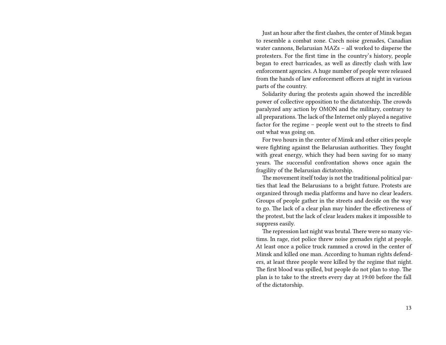Just an hour after the first clashes, the center of Minsk began to resemble a combat zone. Czech noise grenades, Canadian water cannons, Belarusian MAZs – all worked to disperse the protesters. For the first time in the country's history, people began to erect barricades, as well as directly clash with law enforcement agencies. A huge number of people were released from the hands of law enforcement officers at night in various parts of the country.

Solidarity during the protests again showed the incredible power of collective opposition to the dictatorship. The crowds paralyzed any action by OMON and the military, contrary to all preparations. The lack of the Internet only played a negative factor for the regime – people went out to the streets to find out what was going on.

For two hours in the center of Minsk and other cities people were fighting against the Belarusian authorities. They fought with great energy, which they had been saving for so many years. The successful confrontation shows once again the fragility of the Belarusian dictatorship.

The movement itself today is not the traditional political parties that lead the Belarusians to a bright future. Protests are organized through media platforms and have no clear leaders. Groups of people gather in the streets and decide on the way to go. The lack of a clear plan may hinder the effectiveness of the protest, but the lack of clear leaders makes it impossible to suppress easily.

The repression last night was brutal. There were so many victims. In rage, riot police threw noise grenades right at people. At least once a police truck rammed a crowd in the center of Minsk and killed one man. According to human rights defenders, at least three people were killed by the regime that night. The first blood was spilled, but people do not plan to stop. The plan is to take to the streets every day at 19:00 before the fall of the dictatorship.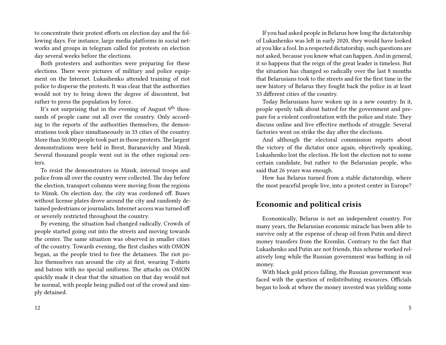to concentrate their protest efforts on election day and the following days. For instance, large media platforms in social networks and groups in telegram called for protests on election day several weeks before the elections.

Both protesters and authorities were preparing for these elections. There were pictures of military and police equipment on the Internet. Lukashenko attended training of riot police to disperse the protests. It was clear that the authorities would not try to bring down the degree of discontent, but rather to press the population by force.

It's not surprising that in the evening of August  $9<sup>th</sup>$  thousands of people came out all over the country. Only according to the reports of the authorities themselves, the demonstrations took place simultaneously in 33 cities of the country. More than 50,000 people took part in those protests. The largest demonstrations were held in Brest, Baranavichy and Minsk. Several thousand people went out in the other regional centers.

To resist the demonstrators in Minsk, internal troops and police from all over the country were collected. The day before the election, transport columns were moving from the regions to Minsk. On election day, the city was cordoned off. Buses without license plates drove around the city and randomly detained pedestrians or journalists. Internet access was turned off or severely restricted throughout the country.

By evening, the situation had changed radically. Crowds of people started going out into the streets and moving towards the center. The same situation was observed in smaller cities of the country. Towards evening, the first clashes with OMON began, as the people tried to free the detainees. The riot police themselves ran around the city at first, wearing T-shirts and batons with no special uniforms. The attacks on OMON quickly made it clear that the situation on that day would not be normal, with people being pulled out of the crowd and simply detained.

If you had asked people in Belarus how long the dictatorship of Lukashenko was left in early 2020, they would have looked at you like a fool. In a respected dictatorship, such questions are not asked, because you know what can happen. And in general, it so happens that the reign of the great leader is timeless. But the situation has changed so radically over the last 8 months that Belarusians took to the streets and for the first time in the new history of Belarus they fought back the police in at least 33 different cities of the country.

Today Belarusians have woken up in a new country. In it, people openly talk about hatred for the government and prepare for a violent confrontation with the police and state. They discuss online and live effective methods of struggle. Several factories went on strike the day after the elections.

And although the electoral commission reports about the victory of the dictator once again, objectively speaking, Lukashenko lost the election. He lost the election not to some certain candidate, but rather to the Belarusian people, who said that 26 years was enough.

How has Belarus turned from a stable dictatorship, where the most peaceful people live, into a protest center in Europe?

#### **Economic and political crisis**

Economically, Belarus is not an independent country. For many years, the Belarusian economic miracle has been able to survive only at the expense of cheap oil from Putin and direct money transfers from the Kremlin. Contrary to the fact that Lukashenko and Putin are not friends, this scheme worked relatively long while the Russian government was bathing in oil money.

With black gold prices falling, the Russian government was faced with the question of redistributing resources. Officials began to look at where the money invested was yielding some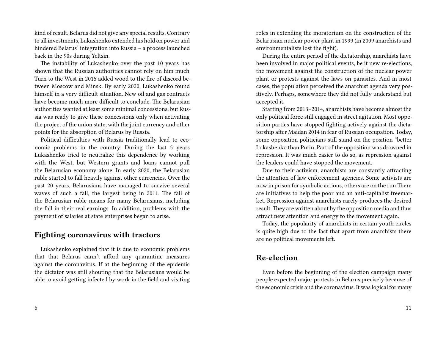kind of result. Belarus did not give any special results. Contrary to all investments, Lukashenko extended his hold on power and hindered Belarus' integration into Russia – a process launched back in the 90s during Yeltsin.

The instability of Lukashenko over the past 10 years has shown that the Russian authorities cannot rely on him much. Turn to the West in 2015 added wood to the fire of discord between Moscow and Minsk. By early 2020, Lukashenko found himself in a very difficult situation. New oil and gas contracts have become much more difficult to conclude. The Belarusian authorities wanted at least some minimal concessions, but Russia was ready to give these concessions only when activating the project of the union state, with the joint currency and other points for the absorption of Belarus by Russia.

Political difficulties with Russia traditionally lead to economic problems in the country. During the last 5 years Lukashenko tried to neutralize this dependence by working with the West, but Western grants and loans cannot pull the Belarusian economy alone. In early 2020, the Belarusian ruble started to fall heavily against other currencies. Over the past 20 years, Belarusians have managed to survive several waves of such a fall, the largest being in 2011. The fall of the Belarusian ruble means for many Belarusians, including the fall in their real earnings. In addition, problems with the payment of salaries at state enterprises began to arise.

#### **Fighting coronavirus with tractors**

Lukashenko explained that it is due to economic problems that that Belarus cann't afford any quarantine measures against the coronavirus. If at the beginning of the epidemic the dictator was still shouting that the Belarusians would be able to avoid getting infected by work in the field and visiting roles in extending the moratorium on the construction of the Belarusian nuclear power plant in 1999 (in 2009 anarchists and environmentalists lost the fight).

During the entire period of the dictatorship, anarchists have been involved in major political events, be it new re-elections, the movement against the construction of the nuclear power plant or protests against the laws on parasites. And in most cases, the population perceived the anarchist agenda very positively. Perhaps, somewhere they did not fully understand but accepted it.

Starting from 2013–2014, anarchists have become almost the only political force still engaged in street agitation. Most opposition parties have stopped fighting actively against the dictatorship after Maidan 2014 in fear of Russian occupation. Today, some opposition politicians still stand on the position "better Lukashenko than Putin. Part of the opposition was drowned in repression. It was much easier to do so, as repression against the leaders could have stopped the movement.

Due to their activism, anarchists are constantly attracting the attention of law enforcement agencies. Some activists are now in prison for symbolic actions, others are on the run.There are initiatives to help the poor and an anti-capitalist freemarket. Repression against anarchists rarely produces the desired result.They are written about by the opposition media and thus attract new attention and energy to the movement again.

Today, the popularity of anarchists in certain youth circles is quite high due to the fact that apart from anarchists there are no political movements left.

## **Re-election**

Even before the beginning of the election campaign many people expected major protests in Belarus precisely because of the economic crisis and the coronavirus. It was logical for many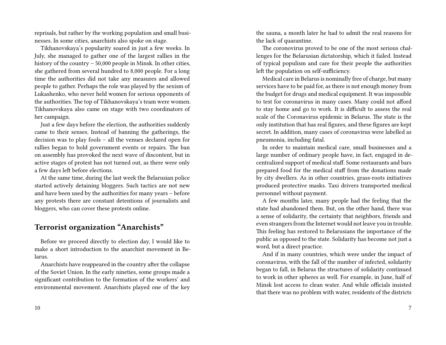reprisals, but rather by the working population and small businesses. In some cities, anarchists also spoke on stage.

Tikhanovskaya's popularity soared in just a few weeks. In July, she managed to gather one of the largest rallies in the history of the country – 50,000 people in Minsk. In other cities, she gathered from several hundred to 8,000 people. For a long time the authorities did not take any measures and allowed people to gather. Perhaps the role was played by the sexism of Lukashenko, who never held women for serious opponents of the authorities. The top of Tikhanovskaya's team were women. Tikhanovskaya also came on stage with two coordinators of her campaign.

Just a few days before the election, the authorities suddenly came to their senses. Instead of banning the gatherings, the decision was to play fools – all the venues declared open for rallies began to hold government events or repairs. The ban on assembly has provoked the next wave of discontent, but in active stages of protest has not turned out, as there were only a few days left before elections.

At the same time, during the last week the Belarusian police started actively detaining bloggers. Such tactics are not new and have been used by the authorities for many years – before any protests there are constant detentions of journalists and bloggers, who can cover these protests online.

### **Terrorist organization "Anarchists"**

Before we proceed directly to election day, I would like to make a short introduction to the anarchist movement in Belarus.

Anarchists have reappeared in the country after the collapse of the Soviet Union. In the early nineties, some groups made a significant contribution to the formation of the workers' and environmental movement. Anarchists played one of the key the sauna, a month later he had to admit the real reasons for the lack of quarantine.

The coronovirus proved to be one of the most serious challenges for the Belarusian dictatorship, which it failed. Instead of typical populism and care for their people the authorities left the population on self-sufficiency.

Medical care in Belarus is nominally free of charge, but many services have to be paid for, as there is not enough money from the budget for drugs and medical equipment. It was impossible to test for coronavirus in many cases. Many could not afford to stay home and go to work. It is difficult to assess the real scale of the Coronavirus epidemic in Belarus. The state is the only institution that has real figures, and these figures are kept secret. In addition, many cases of coronavirus were labelled as pneumonia, including fatal.

In order to maintain medical care, small businesses and a large number of ordinary people have, in fact, engaged in decentralized support of medical staff. Some restaurants and bars prepared food for the medical staff from the donations made by city dwellers. As in other countries, grass-roots initiatives produced protective masks. Taxi drivers transported medical personnel without payment.

A few months later, many people had the feeling that the state had abandoned them. But, on the other hand, there was a sense of solidarity, the certainty that neighbors, friends and even strangers from the Internet would not leave you in trouble. This feeling has restored to Belarusians the importance of the public as opposed to the state. Solidarity has become not just a word, but a direct practice.

And if in many countries, which were under the impact of coronavirus, with the fall of the number of infected, solidarity began to fall, in Belarus the structures of solidarity continued to work in other spheres as well. For example, in June, half of Minsk lost access to clean water. And while officials insisted that there was no problem with water, residents of the districts